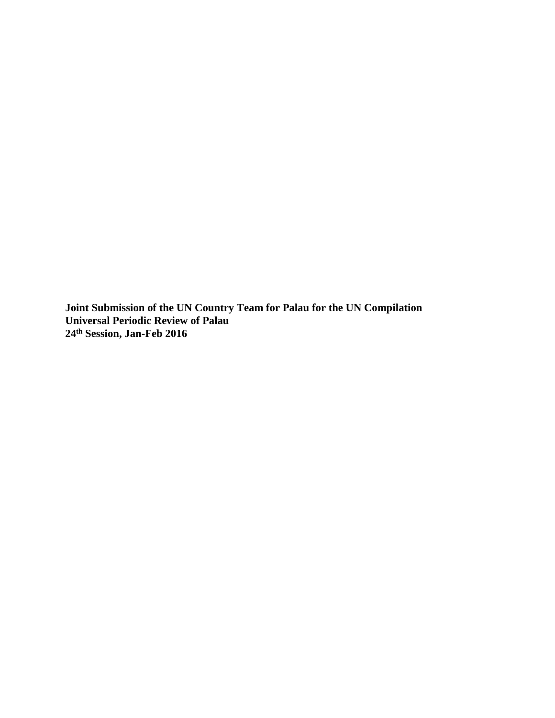**Joint Submission of the UN Country Team for Palau for the UN Compilation Universal Periodic Review of Palau 24th Session, Jan-Feb 2016**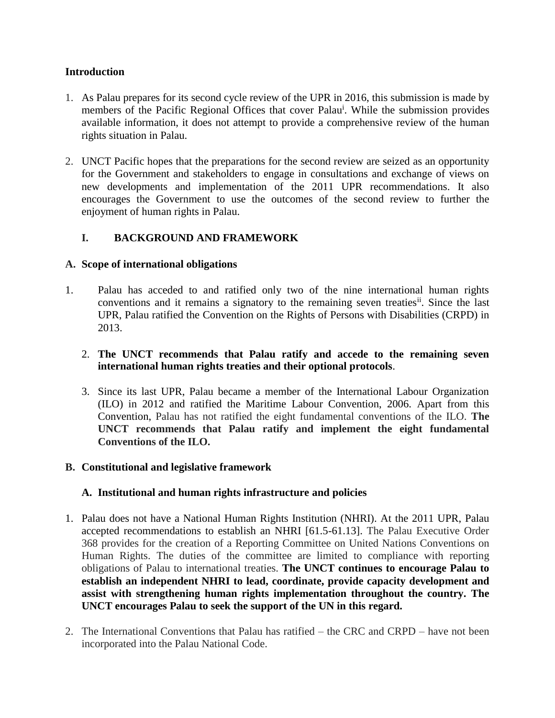## **Introduction**

- 1. As Palau prepares for its second cycle review of the UPR in 2016, this submission is made by members of the Pacific Regional Offices that cover Palau<sup>i</sup>. While the submission provides available information, it does not attempt to provide a comprehensive review of the human rights situation in Palau.
- 2. UNCT Pacific hopes that the preparations for the second review are seized as an opportunity for the Government and stakeholders to engage in consultations and exchange of views on new developments and implementation of the 2011 UPR recommendations. It also encourages the Government to use the outcomes of the second review to further the enjoyment of human rights in Palau.

# **I. BACKGROUND AND FRAMEWORK**

## **A. Scope of international obligations**

1. Palau has acceded to and ratified only two of the nine international human rights conventions and it remains a signatory to the remaining seven treaties<sup>ii</sup>. Since the last UPR, Palau ratified the Convention on the Rights of Persons with Disabilities (CRPD) in 2013.

## 2. **The UNCT recommends that Palau ratify and accede to the remaining seven international human rights treaties and their optional protocols**.

3. Since its last UPR, Palau became a member of the International Labour Organization (ILO) in 2012 and ratified the Maritime Labour Convention, 2006. Apart from this Convention, Palau has not ratified the eight fundamental conventions of the ILO. **The UNCT recommends that Palau ratify and implement the eight fundamental Conventions of the ILO.**

## **B. Constitutional and legislative framework**

# **A. Institutional and human rights infrastructure and policies**

- 1. Palau does not have a National Human Rights Institution (NHRI). At the 2011 UPR, Palau accepted recommendations to establish an NHRI [61.5-61.13]. The Palau Executive Order 368 provides for the creation of a Reporting Committee on United Nations Conventions on Human Rights. The duties of the committee are limited to compliance with reporting obligations of Palau to international treaties. **The UNCT continues to encourage Palau to establish an independent NHRI to lead, coordinate, provide capacity development and assist with strengthening human rights implementation throughout the country. The UNCT encourages Palau to seek the support of the UN in this regard.**
- 2. The International Conventions that Palau has ratified the CRC and CRPD have not been incorporated into the Palau National Code.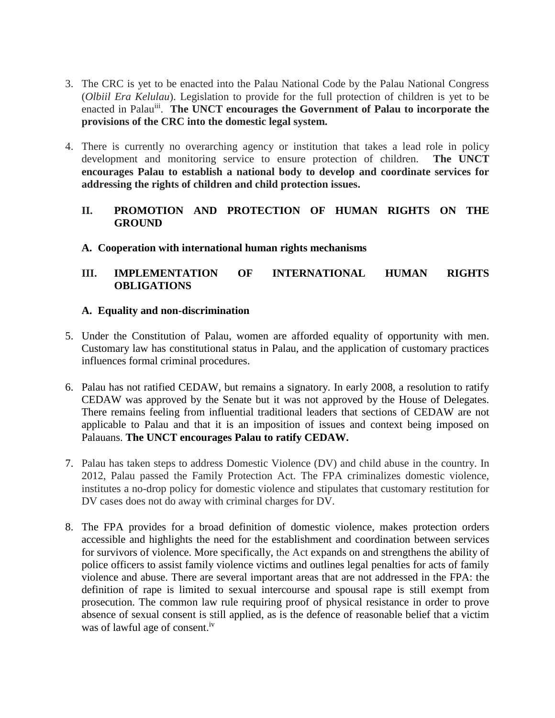- 3. The CRC is yet to be enacted into the Palau National Code by the Palau National Congress (*Olbiil Era Kelulau*). Legislation to provide for the full protection of children is yet to be enacted in Palau<sup>iii</sup>. The UNCT encourages the Government of Palau to incorporate the **provisions of the CRC into the domestic legal system.**
- 4. There is currently no overarching agency or institution that takes a lead role in policy development and monitoring service to ensure protection of children. **The UNCT encourages Palau to establish a national body to develop and coordinate services for addressing the rights of children and child protection issues.**

## **II. PROMOTION AND PROTECTION OF HUMAN RIGHTS ON THE GROUND**

## **A. Cooperation with international human rights mechanisms**

# **III. IMPLEMENTATION OF INTERNATIONAL HUMAN RIGHTS OBLIGATIONS**

## **A. Equality and non-discrimination**

- 5. Under the Constitution of Palau, women are afforded equality of opportunity with men. Customary law has constitutional status in Palau, and the application of customary practices influences formal criminal procedures.
- 6. Palau has not ratified CEDAW, but remains a signatory. In early 2008, a resolution to ratify CEDAW was approved by the Senate but it was not approved by the House of Delegates. There remains feeling from influential traditional leaders that sections of CEDAW are not applicable to Palau and that it is an imposition of issues and context being imposed on Palauans. **The UNCT encourages Palau to ratify CEDAW.**
- 7. Palau has taken steps to address Domestic Violence (DV) and child abuse in the country. In 2012, Palau passed the Family Protection Act. The FPA criminalizes domestic violence, institutes a no-drop policy for domestic violence and stipulates that customary restitution for DV cases does not do away with criminal charges for DV.
- 8. The FPA provides for a broad definition of domestic violence, makes protection orders accessible and highlights the need for the establishment and coordination between services for survivors of violence. More specifically, the Act expands on and strengthens the ability of police officers to assist family violence victims and outlines legal penalties for acts of family violence and abuse. There are several important areas that are not addressed in the FPA: the definition of rape is limited to sexual intercourse and spousal rape is still exempt from prosecution. The common law rule requiring proof of physical resistance in order to prove absence of sexual consent is still applied, as is the defence of reasonable belief that a victim was of lawful age of consent.<sup>iv</sup>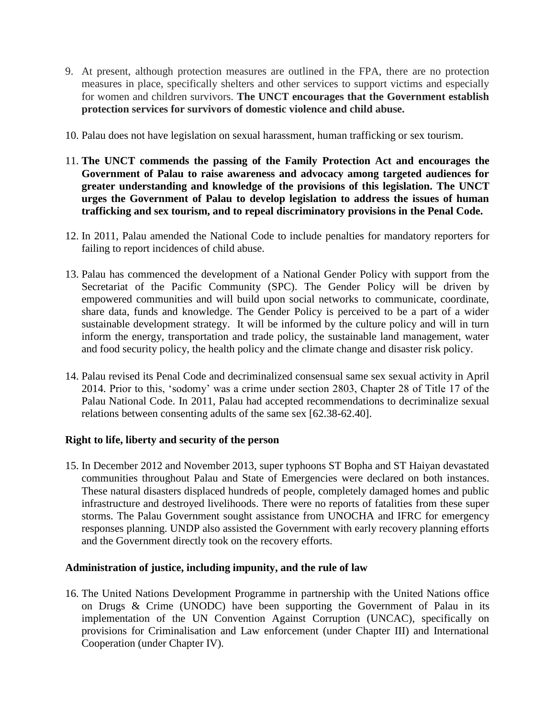- 9. At present, although protection measures are outlined in the FPA, there are no protection measures in place, specifically shelters and other services to support victims and especially for women and children survivors. **The UNCT encourages that the Government establish protection services for survivors of domestic violence and child abuse.**
- 10. Palau does not have legislation on sexual harassment, human trafficking or sex tourism.
- 11. **The UNCT commends the passing of the Family Protection Act and encourages the Government of Palau to raise awareness and advocacy among targeted audiences for greater understanding and knowledge of the provisions of this legislation. The UNCT urges the Government of Palau to develop legislation to address the issues of human trafficking and sex tourism, and to repeal discriminatory provisions in the Penal Code.**
- 12. In 2011, Palau amended the National Code to include penalties for mandatory reporters for failing to report incidences of child abuse.
- 13. Palau has commenced the development of a National Gender Policy with support from the Secretariat of the Pacific Community (SPC). The Gender Policy will be driven by empowered communities and will build upon social networks to communicate, coordinate, share data, funds and knowledge. The Gender Policy is perceived to be a part of a wider sustainable development strategy. It will be informed by the culture policy and will in turn inform the energy, transportation and trade policy, the sustainable land management, water and food security policy, the health policy and the climate change and disaster risk policy.
- 14. Palau revised its Penal Code and decriminalized consensual same sex sexual activity in April 2014. Prior to this, 'sodomy' was a crime under section 2803, Chapter 28 of Title 17 of the Palau National Code. In 2011, Palau had accepted recommendations to decriminalize sexual relations between consenting adults of the same sex [62.38-62.40].

## **Right to life, liberty and security of the person**

15. In December 2012 and November 2013, super typhoons ST Bopha and ST Haiyan devastated communities throughout Palau and State of Emergencies were declared on both instances. These natural disasters displaced hundreds of people, completely damaged homes and public infrastructure and destroyed livelihoods. There were no reports of fatalities from these super storms. The Palau Government sought assistance from UNOCHA and IFRC for emergency responses planning. UNDP also assisted the Government with early recovery planning efforts and the Government directly took on the recovery efforts.

## **Administration of justice, including impunity, and the rule of law**

16. The United Nations Development Programme in partnership with the United Nations office on Drugs & Crime (UNODC) have been supporting the Government of Palau in its implementation of the UN Convention Against Corruption (UNCAC), specifically on provisions for Criminalisation and Law enforcement (under Chapter III) and International Cooperation (under Chapter IV).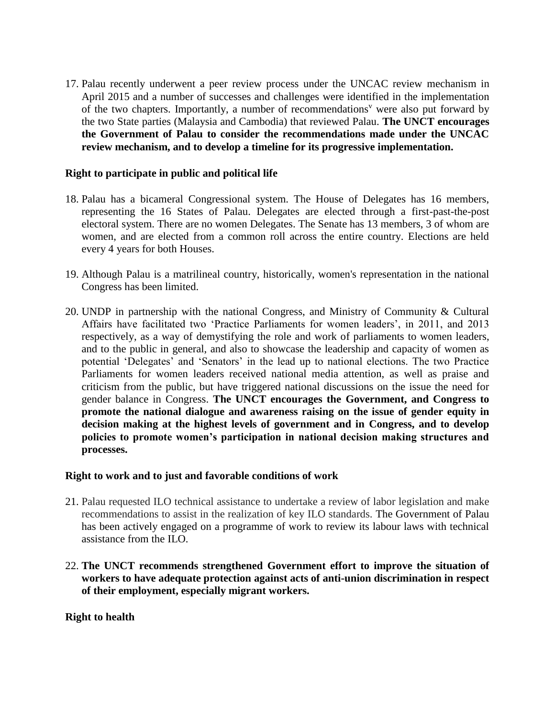17. Palau recently underwent a peer review process under the UNCAC review mechanism in April 2015 and a number of successes and challenges were identified in the implementation of the two chapters. Importantly, a number of recommendations<sup> $v$ </sup> were also put forward by the two State parties (Malaysia and Cambodia) that reviewed Palau. **The UNCT encourages the Government of Palau to consider the recommendations made under the UNCAC review mechanism, and to develop a timeline for its progressive implementation.**

#### **Right to participate in public and political life**

- 18. Palau has a bicameral Congressional system. The House of Delegates has 16 members, representing the 16 States of Palau. Delegates are elected through a first-past-the-post electoral system. There are no women Delegates. The Senate has 13 members, 3 of whom are women, and are elected from a common roll across the entire country. Elections are held every 4 years for both Houses.
- 19. Although Palau is a matrilineal country, historically, women's representation in the national Congress has been limited.
- 20. UNDP in partnership with the national Congress, and Ministry of Community & Cultural Affairs have facilitated two 'Practice Parliaments for women leaders', in 2011, and 2013 respectively, as a way of demystifying the role and work of parliaments to women leaders, and to the public in general, and also to showcase the leadership and capacity of women as potential 'Delegates' and 'Senators' in the lead up to national elections. The two Practice Parliaments for women leaders received national media attention, as well as praise and criticism from the public, but have triggered national discussions on the issue the need for gender balance in Congress. **The UNCT encourages the Government, and Congress to promote the national dialogue and awareness raising on the issue of gender equity in decision making at the highest levels of government and in Congress, and to develop policies to promote women's participation in national decision making structures and processes.**

#### **Right to work and to just and favorable conditions of work**

- 21. Palau requested ILO technical assistance to undertake a review of labor legislation and make recommendations to assist in the realization of key ILO standards. The Government of Palau has been actively engaged on a programme of work to review its labour laws with technical assistance from the ILO.
- 22. **The UNCT recommends strengthened Government effort to improve the situation of workers to have adequate protection against acts of anti-union discrimination in respect of their employment, especially migrant workers.**

## **Right to health**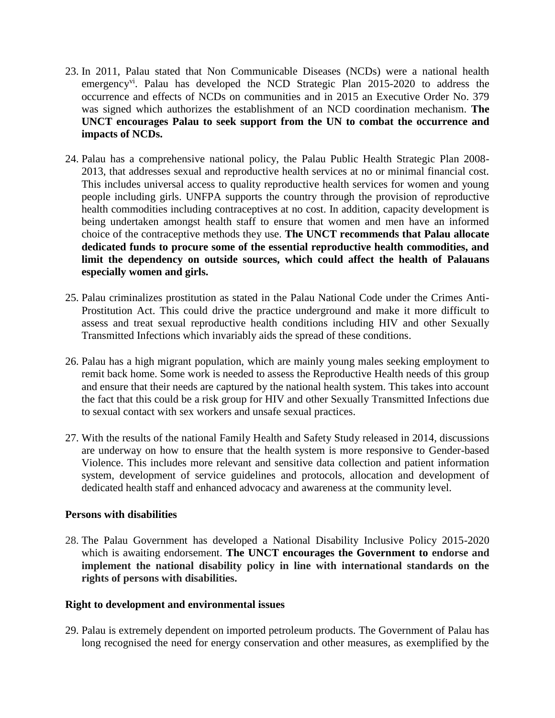- 23. In 2011, Palau stated that Non Communicable Diseases (NCDs) were a national health emergency<sup>vi</sup>. Palau has developed the NCD Strategic Plan 2015-2020 to address the occurrence and effects of NCDs on communities and in 2015 an Executive Order No. 379 was signed which authorizes the establishment of an NCD coordination mechanism. **The UNCT encourages Palau to seek support from the UN to combat the occurrence and impacts of NCDs.**
- 24. Palau has a comprehensive national policy, the Palau Public Health Strategic Plan 2008- 2013, that addresses sexual and reproductive health services at no or minimal financial cost. This includes universal access to quality reproductive health services for women and young people including girls. UNFPA supports the country through the provision of reproductive health commodities including contraceptives at no cost. In addition, capacity development is being undertaken amongst health staff to ensure that women and men have an informed choice of the contraceptive methods they use. **The UNCT recommends that Palau allocate dedicated funds to procure some of the essential reproductive health commodities, and limit the dependency on outside sources, which could affect the health of Palauans especially women and girls.**
- 25. Palau criminalizes prostitution as stated in the Palau National Code under the Crimes Anti-Prostitution Act. This could drive the practice underground and make it more difficult to assess and treat sexual reproductive health conditions including HIV and other Sexually Transmitted Infections which invariably aids the spread of these conditions.
- 26. Palau has a high migrant population, which are mainly young males seeking employment to remit back home. Some work is needed to assess the Reproductive Health needs of this group and ensure that their needs are captured by the national health system. This takes into account the fact that this could be a risk group for HIV and other Sexually Transmitted Infections due to sexual contact with sex workers and unsafe sexual practices.
- 27. With the results of the national Family Health and Safety Study released in 2014, discussions are underway on how to ensure that the health system is more responsive to Gender-based Violence. This includes more relevant and sensitive data collection and patient information system, development of service guidelines and protocols, allocation and development of dedicated health staff and enhanced advocacy and awareness at the community level.

## **Persons with disabilities**

28. The Palau Government has developed a National Disability Inclusive Policy 2015-2020 which is awaiting endorsement. **The UNCT encourages the Government to endorse and implement the national disability policy in line with international standards on the rights of persons with disabilities.**

## **Right to development and environmental issues**

29. Palau is extremely dependent on imported petroleum products. The Government of Palau has long recognised the need for energy conservation and other measures, as exemplified by the